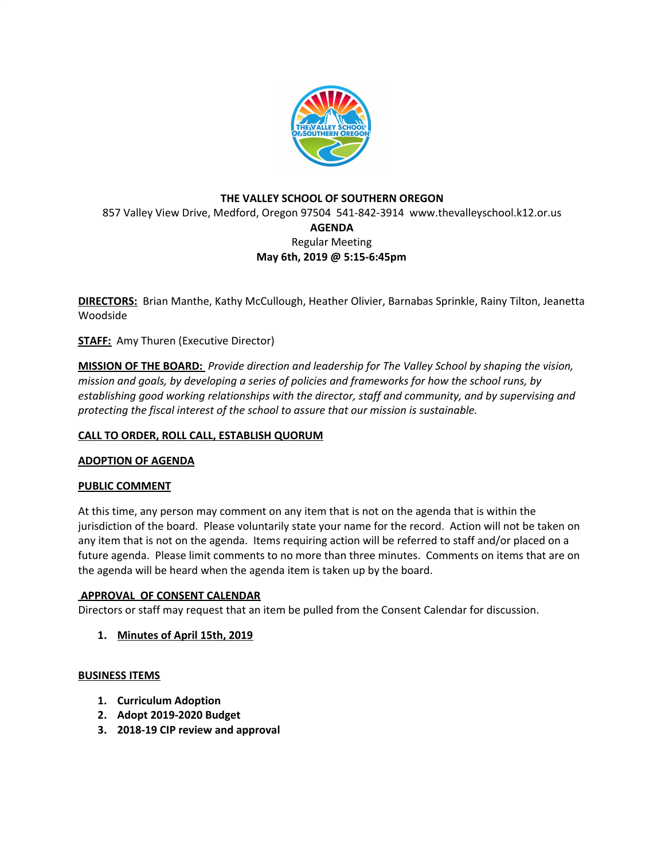

# **THE VALLEY SCHOOL OF SOUTHERN OREGON** 857 Valley View Drive, Medford, Oregon 97504 541-842-3914 www.thevalleyschool.k12.or.us **AGENDA** Regular Meeting **May 6th, 2019 @ 5:15-6:45pm**

**DIRECTORS:** Brian Manthe, Kathy McCullough, Heather Olivier, Barnabas Sprinkle, Rainy Tilton, Jeanetta Woodside

**STAFF:** Amy Thuren (Executive Director)

**MISSION OF THE BOARD:** *Provide direction and leadership for The Valley School by shaping the vision, mission and goals, by developing a series of policies and frameworks for how the school runs, by establishing good working relationships with the director, staff and community, and by supervising and protecting the fiscal interest of the school to assure that our mission is sustainable.*

# **CALL TO ORDER, ROLL CALL, ESTABLISH QUORUM**

# **ADOPTION OF AGENDA**

# **PUBLIC COMMENT**

At this time, any person may comment on any item that is not on the agenda that is within the jurisdiction of the board. Please voluntarily state your name for the record. Action will not be taken on any item that is not on the agenda. Items requiring action will be referred to staff and/or placed on a future agenda. Please limit comments to no more than three minutes. Comments on items that are on the agenda will be heard when the agenda item is taken up by the board.

# **APPROVAL OF CONSENT CALENDAR**

Directors or staff may request that an item be pulled from the Consent Calendar for discussion.

**1. Minutes of April 15th, 2019**

#### **BUSINESS ITEMS**

- **1. Curriculum Adoption**
- **2. Adopt 2019-2020 Budget**
- **3. 2018-19 CIP review and approval**